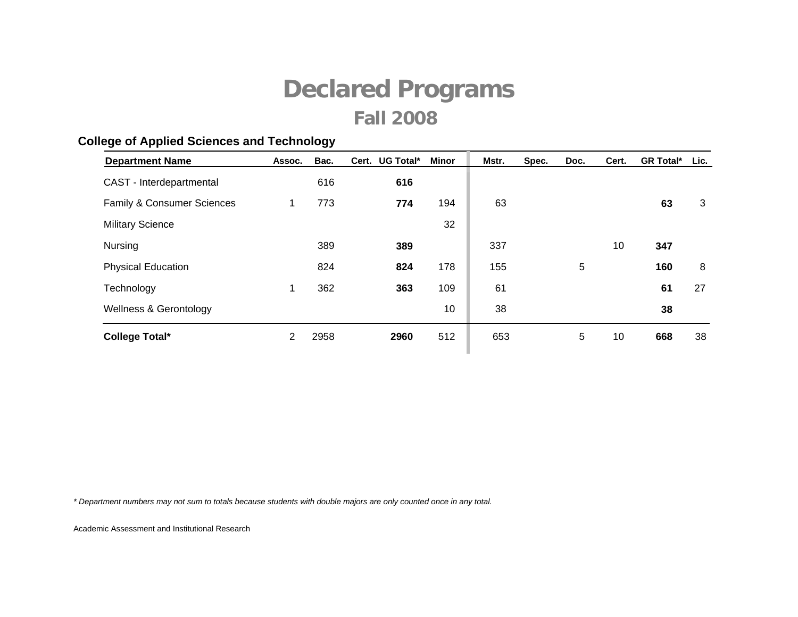### **College of Applied Sciences and Technology**

| <b>Department Name</b>            | Assoc. | Bac. | Cert. | UG Total* | Minor | Mstr. | Spec. | Doc. | Cert. | <b>GR Total*</b> | Lic. |
|-----------------------------------|--------|------|-------|-----------|-------|-------|-------|------|-------|------------------|------|
| CAST - Interdepartmental          |        | 616  |       | 616       |       |       |       |      |       |                  |      |
| Family & Consumer Sciences        | 1      | 773  |       | 774       | 194   | 63    |       |      |       | 63               | 3    |
| <b>Military Science</b>           |        |      |       |           | 32    |       |       |      |       |                  |      |
| <b>Nursing</b>                    |        | 389  |       | 389       |       | 337   |       |      | 10    | 347              |      |
| <b>Physical Education</b>         |        | 824  |       | 824       | 178   | 155   |       | 5    |       | 160              | 8    |
| Technology                        | 1      | 362  |       | 363       | 109   | 61    |       |      |       | 61               | 27   |
| <b>Wellness &amp; Gerontology</b> |        |      |       |           | 10    | 38    |       |      |       | 38               |      |
| <b>College Total*</b>             | 2      | 2958 |       | 2960      | 512   | 653   |       | 5    | 10    | 668              | 38   |

*\* Department numbers may not sum to totals because students with double majors are only counted once in any total.*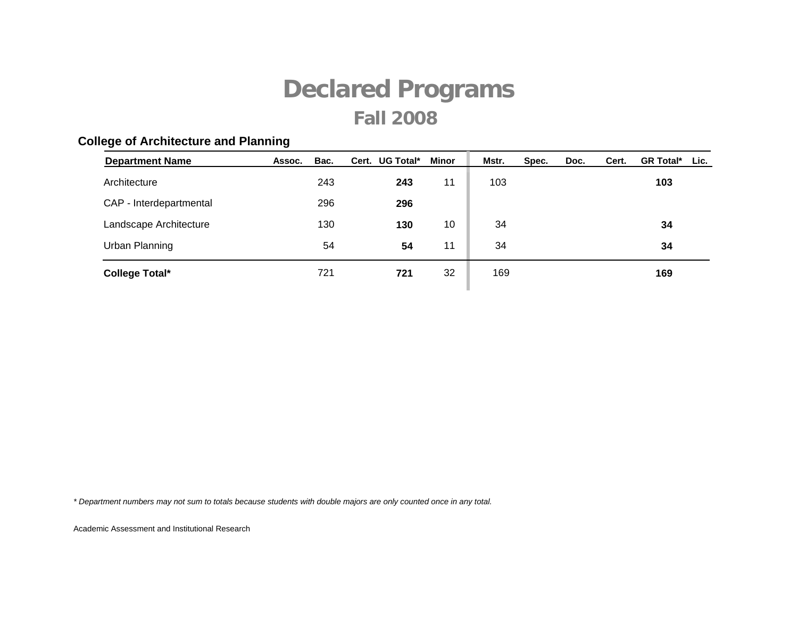### **Department Name Assoc. Bac. UG Total\* Minor Mstr. Spec. Doc. Lic. GR Total\* Cert. Cert.** Architecture 243 **243** 11 103 **103** CAP - Interdepartmental 296 **296 Landscape Architecture 130** 130 130 10 34 34 Urban Planning 54 **54** 11 34 **34 College Total\* 721 721 721 721 169 169**

#### **College of Architecture and Planning**

*\* Department numbers may not sum to totals because students with double majors are only counted once in any total.*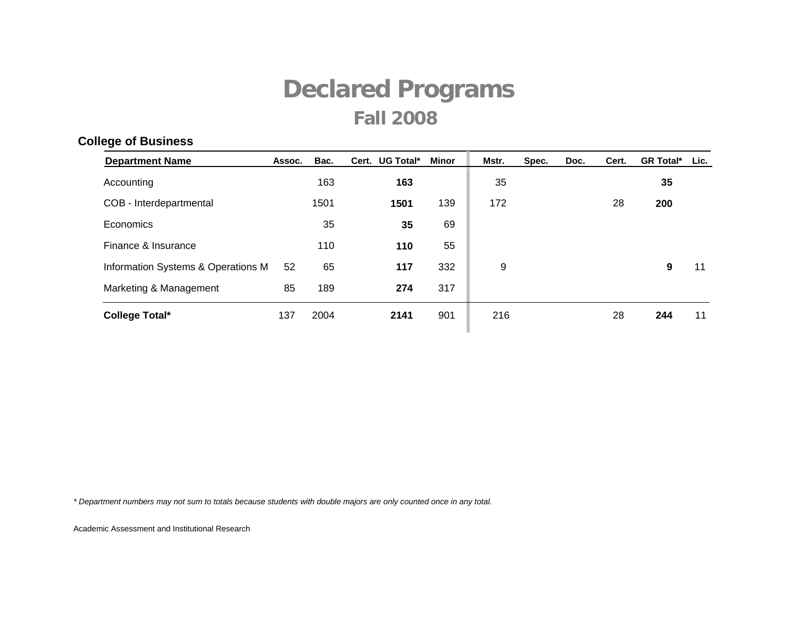### **Department Name Assoc. Bac. UG Total\* Minor Mstr. Spec. Doc. Lic. GR Total\* Cert. Cert.** Accounting 163 **163** 35 **35** COB - Interdepartmental 1501 **1501** 139 172 28 **200** Economics 35 **35** 69 Finance & Insurance 110 **110** 55 Information Systems & Operations M 52 65 **117** 332 9 **9** 11 Marketing & Management 85 189 **274** 317 **College Total\* 137 2004 2141 901 216 28 244 11**

#### **College of Business**

*\* Department numbers may not sum to totals because students with double majors are only counted once in any total.*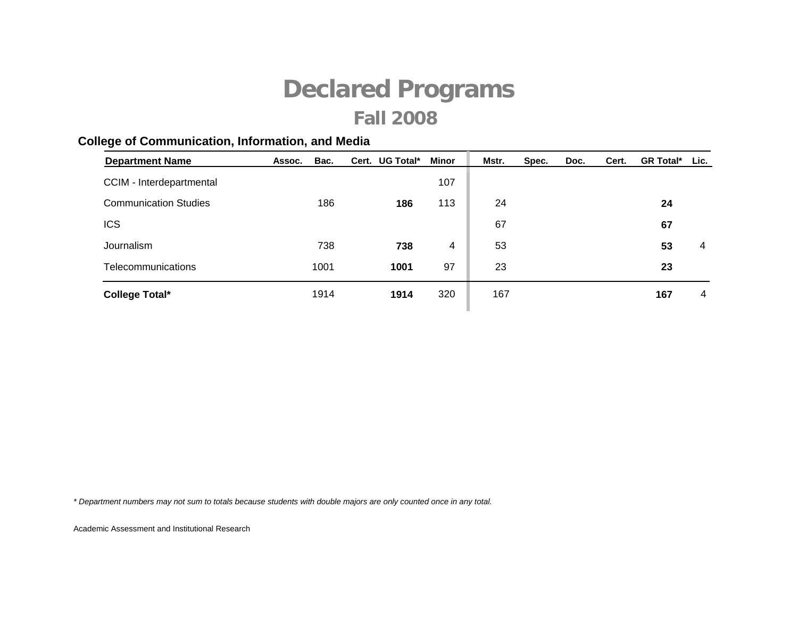### **College of Communication, Information, and Media**

| <b>Department Name</b>       | Assoc. | Bac. | Cert. UG Total* | Minor | Mstr. | Spec. | Doc. | Cert. | <b>GR Total*</b> | Lic. |
|------------------------------|--------|------|-----------------|-------|-------|-------|------|-------|------------------|------|
| CCIM - Interdepartmental     |        |      |                 | 107   |       |       |      |       |                  |      |
| <b>Communication Studies</b> |        | 186  | 186             | 113   | 24    |       |      |       | 24               |      |
| <b>ICS</b>                   |        |      |                 |       | 67    |       |      |       | 67               |      |
| Journalism                   |        | 738  | 738             | 4     | 53    |       |      |       | 53               | 4    |
| Telecommunications           |        | 1001 | 1001            | 97    | 23    |       |      |       | 23               |      |
| <b>College Total*</b>        |        | 1914 | 1914            | 320   | 167   |       |      |       | 167              | 4    |
|                              |        |      |                 |       |       |       |      |       |                  |      |

*\* Department numbers may not sum to totals because students with double majors are only counted once in any total.*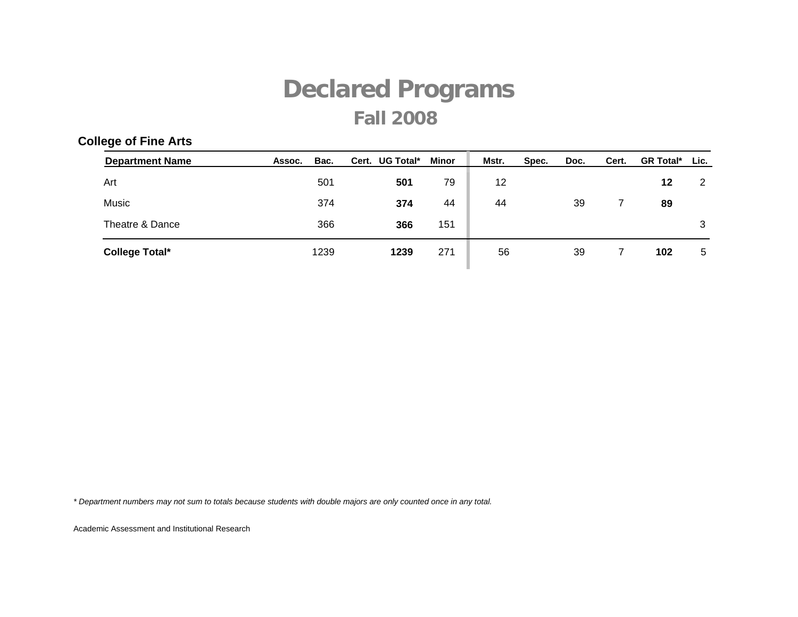### **College of Fine Arts**

| <b>Department Name</b> | Assoc. | Bac. | Cert. UG Total* | Minor | Mstr. | Spec. | Doc. | Cert. | <b>GR Total*</b> | Lic. |
|------------------------|--------|------|-----------------|-------|-------|-------|------|-------|------------------|------|
| Art                    |        | 501  | 501             | 79    | 12    |       |      |       | 12               | 2    |
| Music                  |        | 374  | 374             | 44    | 44    |       | 39   |       | 89               |      |
| Theatre & Dance        |        | 366  | 366             | 151   |       |       |      |       |                  | 3    |
| <b>College Total*</b>  |        | 1239 | 1239            | 271   | 56    |       | 39   |       | 102              | 5    |

*\* Department numbers may not sum to totals because students with double majors are only counted once in any total.*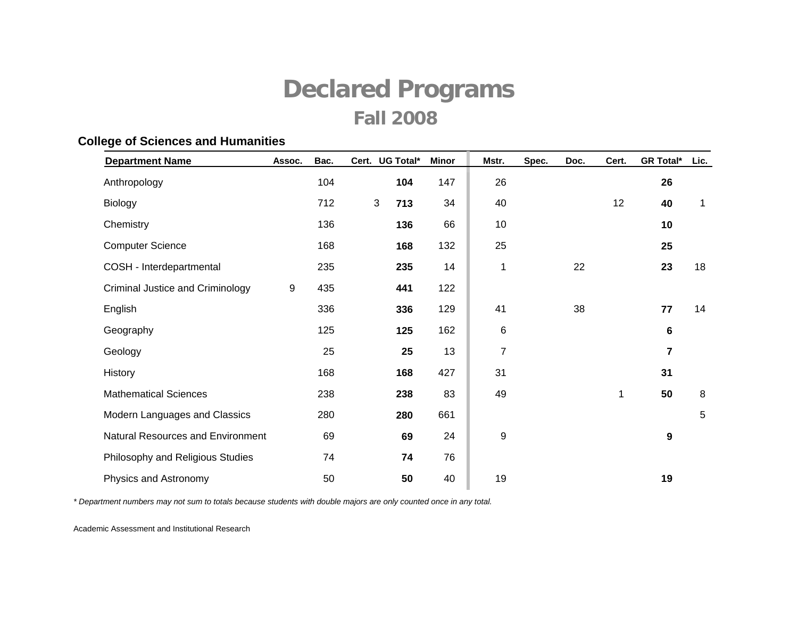#### **College of Sciences and Humanities**

| <b>Department Name</b>            | Assoc.           | Bac. | UG Total*<br>Cert.    | <b>Minor</b> | Mstr.          | Spec. | Doc. | Cert. | <b>GR Total*</b> | Lic.        |
|-----------------------------------|------------------|------|-----------------------|--------------|----------------|-------|------|-------|------------------|-------------|
| Anthropology                      |                  | 104  | 104                   | 147          | 26             |       |      |       | 26               |             |
| Biology                           |                  | 712  | $\mathfrak{S}$<br>713 | 34           | 40             |       |      | 12    | 40               | $\mathbf 1$ |
| Chemistry                         |                  | 136  | 136                   | 66           | 10             |       |      |       | 10               |             |
| <b>Computer Science</b>           |                  | 168  | 168                   | 132          | 25             |       |      |       | 25               |             |
| COSH - Interdepartmental          |                  | 235  | 235                   | 14           | $\mathbf{1}$   |       | 22   |       | 23               | 18          |
| Criminal Justice and Criminology  | $\boldsymbol{9}$ | 435  | 441                   | 122          |                |       |      |       |                  |             |
| English                           |                  | 336  | 336                   | 129          | 41             |       | 38   |       | 77               | 14          |
| Geography                         |                  | 125  | 125                   | 162          | 6              |       |      |       | $6\phantom{1}$   |             |
| Geology                           |                  | 25   | 25                    | 13           | $\overline{7}$ |       |      |       | $\overline{7}$   |             |
| History                           |                  | 168  | 168                   | 427          | 31             |       |      |       | 31               |             |
| <b>Mathematical Sciences</b>      |                  | 238  | 238                   | 83           | 49             |       |      | 1     | 50               | 8           |
| Modern Languages and Classics     |                  | 280  | 280                   | 661          |                |       |      |       |                  | $\sqrt{5}$  |
| Natural Resources and Environment |                  | 69   | 69                    | 24           | 9              |       |      |       | 9                |             |
| Philosophy and Religious Studies  |                  | 74   | 74                    | 76           |                |       |      |       |                  |             |
| Physics and Astronomy             |                  | 50   | 50                    | 40           | 19             |       |      |       | 19               |             |

*\* Department numbers may not sum to totals because students with double majors are only counted once in any total.*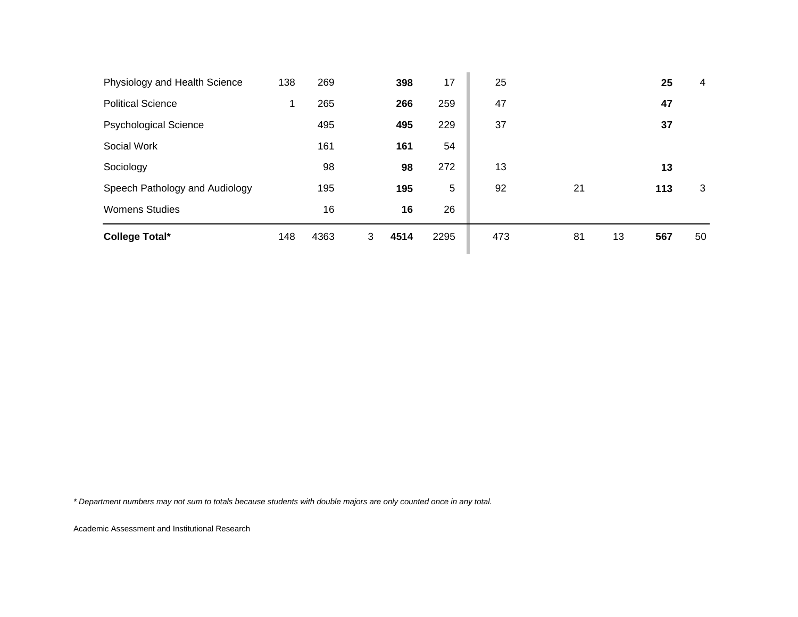| <b>College Total*</b>          | 148 | 4363 | 3 | 4514 | 2295 | 473 | 81 | 13 | 567 | 50 |
|--------------------------------|-----|------|---|------|------|-----|----|----|-----|----|
| <b>Womens Studies</b>          |     | 16   |   | 16   | 26   |     |    |    |     |    |
| Speech Pathology and Audiology |     | 195  |   | 195  | 5    | 92  | 21 |    | 113 | 3  |
| Sociology                      |     | 98   |   | 98   | 272  | 13  |    |    | 13  |    |
| Social Work                    |     | 161  |   | 161  | 54   |     |    |    |     |    |
| <b>Psychological Science</b>   |     | 495  |   | 495  | 229  | 37  |    |    | 37  |    |
| <b>Political Science</b>       | 1   | 265  |   | 266  | 259  | 47  |    |    | 47  |    |
| Physiology and Health Science  | 138 | 269  |   | 398  | 17   | 25  |    |    | 25  | 4  |

*\* Department numbers may not sum to totals because students with double majors are only counted once in any total.*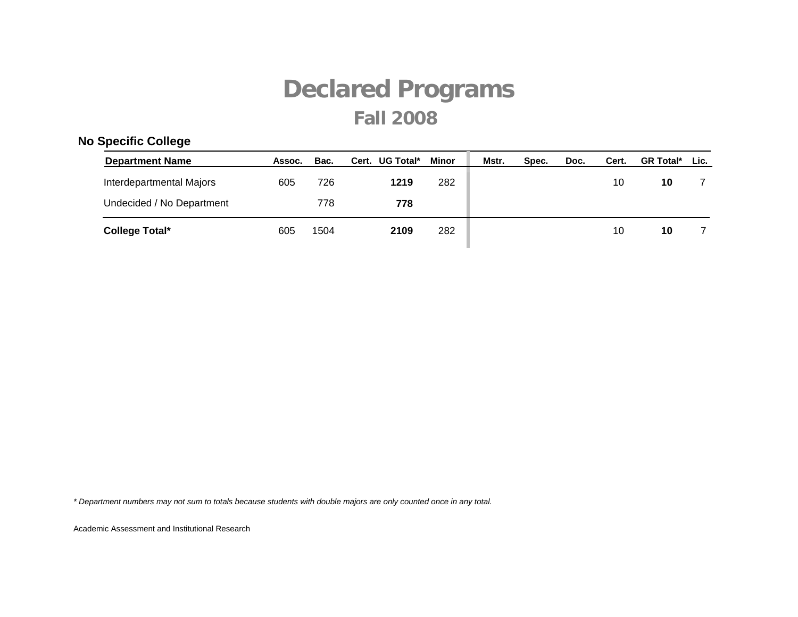### **No Specific College**

| <b>Department Name</b>    | Assoc. | Bac. | Cert. UG Total* | Minor | Mstr. | Spec. | Doc. | Cert. | <b>GR Total*</b> | Lic. |
|---------------------------|--------|------|-----------------|-------|-------|-------|------|-------|------------------|------|
| Interdepartmental Majors  | 605    | 726  | 1219            | 282   |       |       |      | 10    | 10               |      |
| Undecided / No Department |        | 778  | 778             |       |       |       |      |       |                  |      |
| <b>College Total*</b>     | 605    | 1504 | 2109            | 282   |       |       |      | 10    | 10               |      |

*\* Department numbers may not sum to totals because students with double majors are only counted once in any total.*